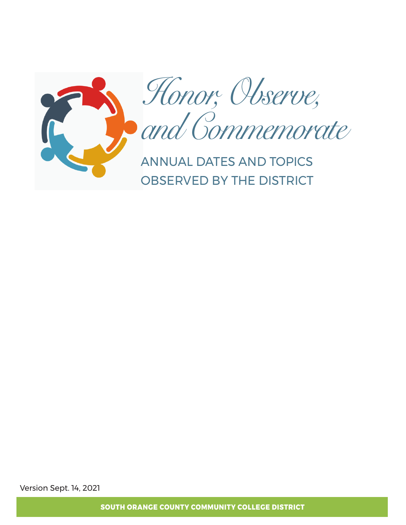

*Honor, Observe, and Commemorate*

ANNUAL DATES AND TOPICS OBSERVED BY THE DISTRICT

Version Sept. 14, 2021

**SOUTH ORANGE COUNTY COMMUNITY COLLEGE DISTRICT**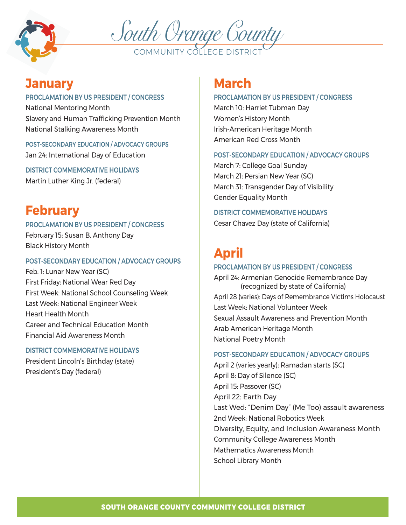



### **January**

#### PROCLAMATION BY US PRESIDENT / CONGRESS

National Mentoring Month Slavery and Human Trafficking Prevention Month National Stalking Awareness Month

POST-SECONDARY EDUCATION / ADVOCACY GROUPS Jan 24: International Day of Education

DISTRICT COMMEMORATIVE HOLIDAYS Martin Luther King Jr. (federal)

# **February**

### PROCLAMATION BY US PRESIDENT / CONGRESS

February 15: Susan B. Anthony Day Black History Month

### POST-SECONDARY EDUCATION / ADVOCACY GROUPS

Feb. 1: Lunar New Year (SC) First Friday: National Wear Red Day First Week: National School Counseling Week Last Week: National Engineer Week Heart Health Month Career and Technical Education Month Financial Aid Awareness Month

### DISTRICT COMMEMORATIVE HOLIDAYS

President Lincoln's Birthday (state) President's Day (federal)

## **March**

### PROCLAMATION BY US PRESIDENT / CONGRESS

March 10: Harriet Tubman Day Women's History Month Irish-American Heritage Month American Red Cross Month

### POST-SECONDARY EDUCATION / ADVOCACY GROUPS

March 7: College Goal Sunday March 21: Persian New Year (SC) March 31: Transgender Day of Visibility Gender Equality Month

### DISTRICT COMMEMORATIVE HOLIDAYS

Cesar Chavez Day (state of California)

# **April**

### PROCLAMATION BY US PRESIDENT / CONGRESS

April 24: Armenian Genocide Remembrance Day (recognized by state of California) April 28 (varies): Days of Remembrance Victims Holocaust Last Week: National Volunteer Week Sexual Assault Awareness and Prevention Month Arab American Heritage Month National Poetry Month

### POST-SECONDARY EDUCATION / ADVOCACY GROUPS

April 2 (varies yearly): Ramadan starts (SC) April 8: Day of Silence (SC) April 15: Passover (SC) April 22: Earth Day Last Wed: "Denim Day" (Me Too) assault awareness 2nd Week: National Robotics Week Diversity, Equity, and Inclusion Awareness Month Community College Awareness Month Mathematics Awareness Month School Library Month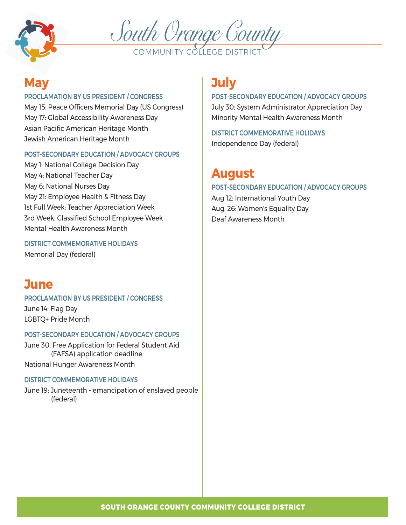



### **May**

### PROCLAMATION BY US PRESIDENT / CONGRESS

May 15: Peace Officers Memorial Day (US Congress) May 17: Global Accessibility Awareness Day Asian Pacific American Heritage Month Jewish American Heritage Month

### POST-SECONDARY EDUCATION / ADVOCACY GROUPS

May 1: National College Decision Day May 4: National Teacher Day May 6: National Nurses Day May 21: Employee Health & Fitness Day 1st Full Week: Teacher Appreciation Week 3rd Week: Classified School Employee Week Mental Health Awareness Month

DISTRICT COMMEMORATIVE HOLIDAYS Memorial Day (federal)

### **June**

PROCLAMATION BY US PRESIDENT / CONGRESS June 14: Flag Day LGBTQ+ Pride Month

### POST-SECONDARY EDUCATION / ADVOCACY GROUPS

June 30: Free Application for Federal Student Aid (FAFSA) application deadline National Hunger Awareness Month

### DISTRICT COMMEMORATIVE HOLIDAYS

June 19: Juneteenth - emancipation of enslaved people (federal)

# **July**

### POST-SECONDARY EDUCATION / ADVOCACY GROUPS

July 30: System Administrator Appreciation Day Minority Mental Health Awareness Month

DISTRICT COMMEMORATIVE HOLIDAYS Independence Day (federal)

# **August**

### POST-SECONDARY EDUCATION / ADVOCACY GROUPS

Aug 12: International Youth Day Aug. 26: Women's Equality Day Deaf Awareness Month